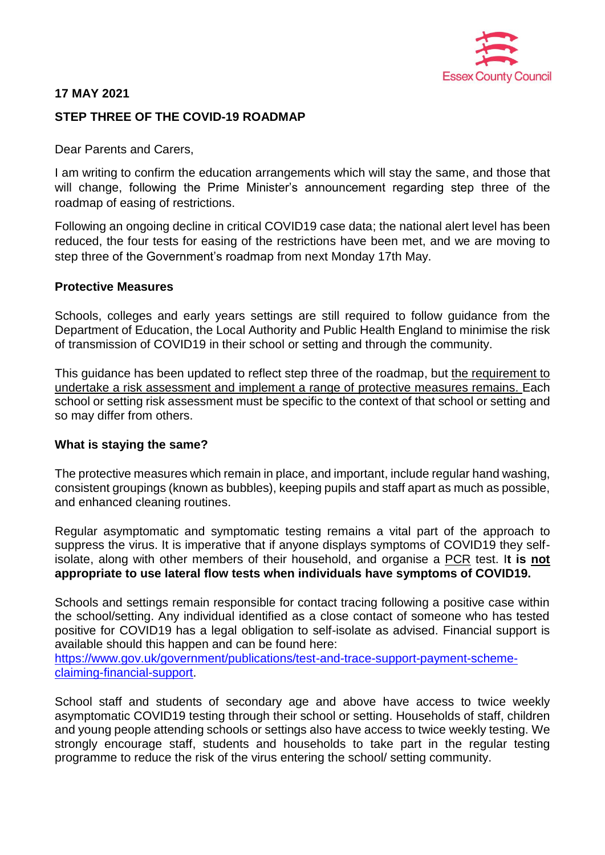

# **17 MAY 2021**

# **STEP THREE OF THE COVID-19 ROADMAP**

Dear Parents and Carers,

I am writing to confirm the education arrangements which will stay the same, and those that will change, following the Prime Minister's announcement regarding step three of the roadmap of easing of restrictions.

Following an ongoing decline in critical COVID19 case data; the national alert level has been reduced, the four tests for easing of the restrictions have been met, and we are moving to step three of the Government's roadmap from next Monday 17th May.

#### **Protective Measures**

Schools, colleges and early years settings are still required to follow guidance from the Department of Education, the Local Authority and Public Health England to minimise the risk of transmission of COVID19 in their school or setting and through the community.

This guidance has been updated to reflect step three of the roadmap, but the requirement to undertake a risk assessment and implement a range of protective measures remains. Each school or setting risk assessment must be specific to the context of that school or setting and so may differ from others.

### **What is staying the same?**

The protective measures which remain in place, and important, include regular hand washing, consistent groupings (known as bubbles), keeping pupils and staff apart as much as possible, and enhanced cleaning routines.

Regular asymptomatic and symptomatic testing remains a vital part of the approach to suppress the virus. It is imperative that if anyone displays symptoms of COVID19 they selfisolate, along with other members of their household, and organise a PCR test. I**t is not appropriate to use lateral flow tests when individuals have symptoms of COVID19.** 

Schools and settings remain responsible for contact tracing following a positive case within the school/setting. Any individual identified as a close contact of someone who has tested positive for COVID19 has a legal obligation to self-isolate as advised. Financial support is available should this happen and can be found here:

[https://www.gov.uk/government/publications/test-and-trace-support-payment-scheme](https://www.gov.uk/government/publications/test-and-trace-support-payment-scheme-claiming-financial-support/claiming-financial-support-under-the-test-and-trace-support-payment-scheme)[claiming-financial-support.](https://www.gov.uk/government/publications/test-and-trace-support-payment-scheme-claiming-financial-support/claiming-financial-support-under-the-test-and-trace-support-payment-scheme)

School staff and students of secondary age and above have access to twice weekly asymptomatic COVID19 testing through their school or setting. Households of staff, children and young people attending schools or settings also have access to twice weekly testing. We strongly encourage staff, students and households to take part in the regular testing programme to reduce the risk of the virus entering the school/ setting community.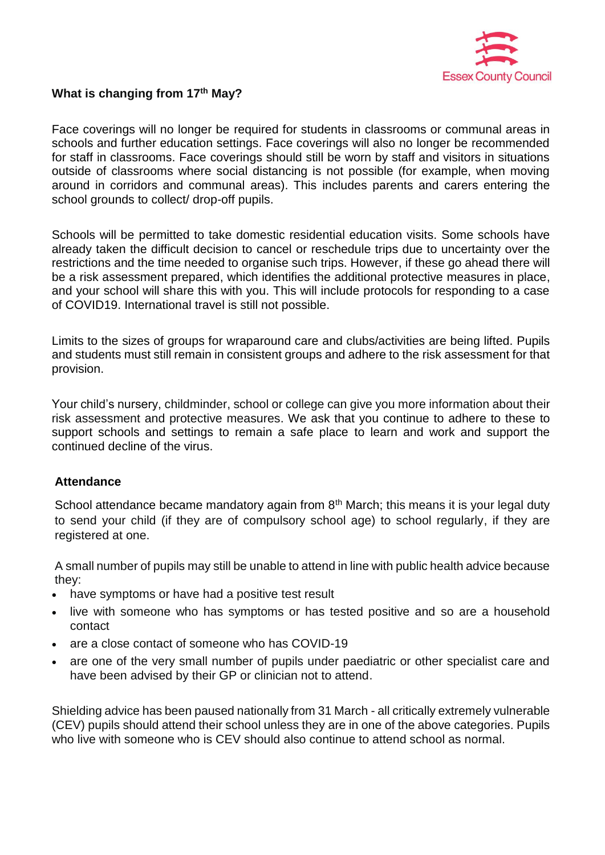

# **What is changing from 17th May?**

Face coverings will no longer be required for students in classrooms or communal areas in schools and further education settings. Face coverings will also no longer be recommended for staff in classrooms. Face coverings should still be worn by staff and visitors in situations outside of classrooms where social distancing is not possible (for example, when moving around in corridors and communal areas). This includes parents and carers entering the school grounds to collect/ drop-off pupils.

Schools will be permitted to take domestic residential education visits. Some schools have already taken the difficult decision to cancel or reschedule trips due to uncertainty over the restrictions and the time needed to organise such trips. However, if these go ahead there will be a risk assessment prepared, which identifies the additional protective measures in place, and your school will share this with you. This will include protocols for responding to a case of COVID19. International travel is still not possible.

Limits to the sizes of groups for wraparound care and clubs/activities are being lifted. Pupils and students must still remain in consistent groups and adhere to the risk assessment for that provision.

Your child's nursery, childminder, school or college can give you more information about their risk assessment and protective measures. We ask that you continue to adhere to these to support schools and settings to remain a safe place to learn and work and support the continued decline of the virus.

### **Attendance**

School attendance became mandatory again from  $8<sup>th</sup>$  March; this means it is your legal duty to send your child (if they are of compulsory school age) to school regularly, if they are registered at one.

A small number of pupils may still be unable to attend in line with public health advice because they:

- have symptoms or have had a positive test result
- live with someone who has symptoms or has tested positive and so are a household contact
- are a close contact of someone who has COVID-19
- are one of the very small number of pupils under paediatric or other specialist care and have been advised by their GP or clinician not to attend.

Shielding advice has been paused nationally from 31 March - all critically extremely vulnerable (CEV) pupils should attend their school unless they are in one of the above categories. Pupils who live with someone who is CEV should also continue to attend school as normal.